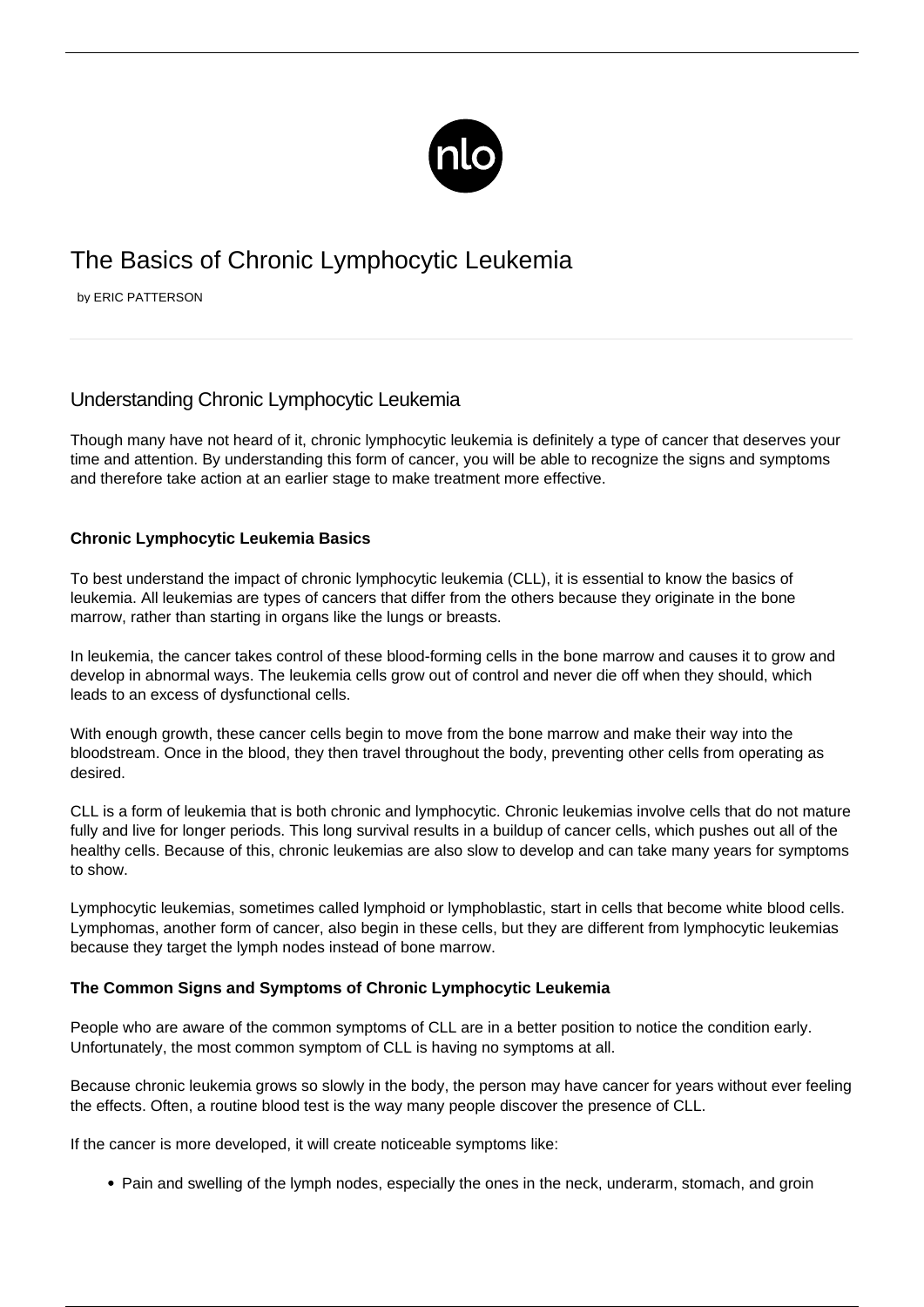

# The Basics of Chronic Lymphocytic Leukemia

by ERIC PATTERSON

## Understanding Chronic Lymphocytic Leukemia

Though many have not heard of it, chronic lymphocytic leukemia is definitely a type of cancer that deserves your time and attention. By understanding this form of cancer, you will be able to recognize the signs and symptoms and therefore take action at an earlier stage to make treatment more effective.

### **Chronic Lymphocytic Leukemia Basics**

To best understand the impact of chronic lymphocytic leukemia (CLL), it is essential to know the basics of [leukemia](/leukemia-symptoms/). All leukemias are types of cancers that differ from the others because they originate in the bone marrow, rather than starting in organs like the lungs or breasts.

In leukemia, the cancer takes control of these blood-forming cells in the bone marrow and causes it to grow and develop in abnormal ways. The leukemia cells grow out of control and never die off when they should, which leads to an excess of dysfunctional cells.

With enough growth, these cancer cells begin to move from the bone marrow and make their way into the bloodstream. Once in the blood, they then travel throughout the body, preventing other cells from operating as desired.

CLL is a form of leukemia that is both chronic and lymphocytic. Chronic leukemias involve cells that do not mature fully and live for longer periods. This long survival results in a buildup of cancer cells, which pushes out all of the healthy cells. Because of this, chronic leukemias are also slow to develop and can take many years for symptoms to show.

Lymphocytic leukemias, sometimes called lymphoid or lymphoblastic, start in cells that become white blood cells. Lymphomas, another form of cancer, also begin in these cells, but they are different from lymphocytic leukemias because they target the lymph nodes instead of bone marrow.

### **The Common Signs and Symptoms of Chronic Lymphocytic Leukemia**

People who are aware of the common symptoms of CLL are in a better position to notice the condition early. Unfortunately, the most common symptom of CLL is having no symptoms at all.

Because chronic leukemia grows so slowly in the body, the person may have cancer for years without ever feeling the effects. Often, a routine blood test is the way many people discover the presence of CLL.

If the cancer is more developed, it will create noticeable symptoms like:

• Pain and swelling of the lymph nodes, especially the ones in the neck, underarm, stomach, and groin